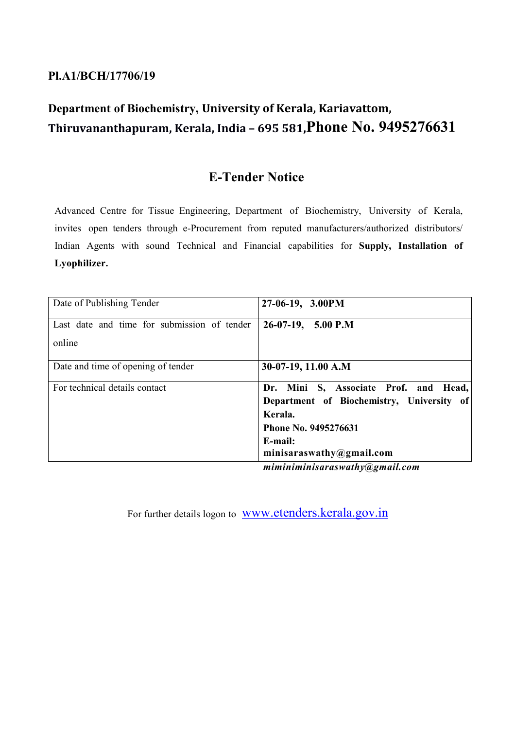## **Pl.A1/BCH/17706/19**

# **Department of Biochemistry, University of Kerala, Kariavattom, Thiruvananthapuram, Kerala, India – 695 581,Phone No. 9495276631**

## **E-Tender Notice**

Advanced Centre for Tissue Engineering, Department of Biochemistry, University of Kerala, invites open tenders through e-Procurement from reputed manufacturers/authorized distributors/ Indian Agents with sound Technical and Financial capabilities for **Supply, Installation of Lyophilizer.**

| Date of Publishing Tender                   | 27-06-19, 3.00PM                                                                                                                                                                                                                                                                                                                                                                                                                                           |
|---------------------------------------------|------------------------------------------------------------------------------------------------------------------------------------------------------------------------------------------------------------------------------------------------------------------------------------------------------------------------------------------------------------------------------------------------------------------------------------------------------------|
| Last date and time for submission of tender | $26-07-19$ , 5.00 P.M                                                                                                                                                                                                                                                                                                                                                                                                                                      |
| online                                      |                                                                                                                                                                                                                                                                                                                                                                                                                                                            |
| Date and time of opening of tender          | 30-07-19, 11.00 A.M                                                                                                                                                                                                                                                                                                                                                                                                                                        |
| For technical details contact               | Dr. Mini S, Associate Prof. and Head,                                                                                                                                                                                                                                                                                                                                                                                                                      |
|                                             | Department of Biochemistry, University of                                                                                                                                                                                                                                                                                                                                                                                                                  |
|                                             | Kerala.                                                                                                                                                                                                                                                                                                                                                                                                                                                    |
|                                             | Phone No. 9495276631                                                                                                                                                                                                                                                                                                                                                                                                                                       |
|                                             | E-mail:                                                                                                                                                                                                                                                                                                                                                                                                                                                    |
|                                             | minisaraswathy@gmail.com                                                                                                                                                                                                                                                                                                                                                                                                                                   |
|                                             | $\mathbf{1} \cup \mathbf{1} \cup \mathbf{1} \cup \mathbf{1} \cup \mathbf{1} \cup \mathbf{1} \cup \mathbf{1} \cup \mathbf{1} \cup \mathbf{1} \cup \mathbf{1} \cup \mathbf{1} \cup \mathbf{1} \cup \mathbf{1} \cup \mathbf{1} \cup \mathbf{1} \cup \mathbf{1} \cup \mathbf{1} \cup \mathbf{1} \cup \mathbf{1} \cup \mathbf{1} \cup \mathbf{1} \cup \mathbf{1} \cup \mathbf{1} \cup \mathbf{1} \cup \mathbf{1} \cup \mathbf{1} \cup \mathbf{1} \cup \mathbf{$ |

*miminiminisaraswathy@gmail.com*

For further details logon to www.etenders.kerala.gov.in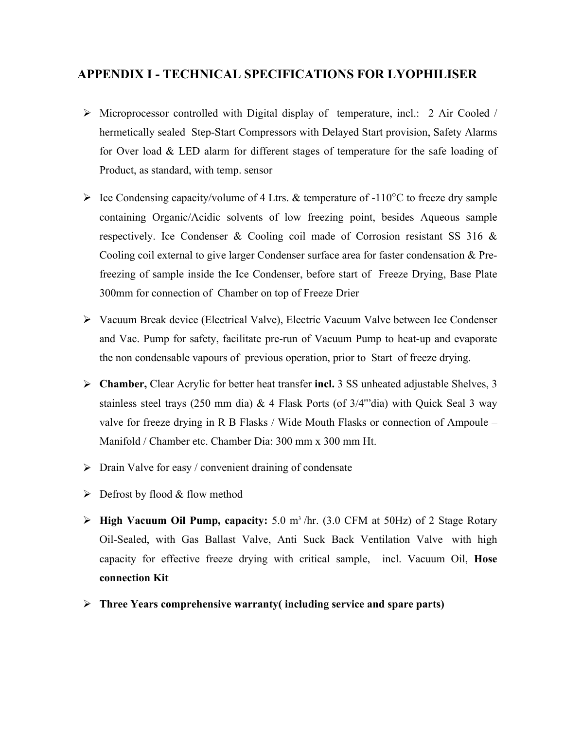### **APPENDIX I - TECHNICAL SPECIFICATIONS FOR LYOPHILISER**

- Microprocessor controlled with Digital display of temperature, incl.: 2 Air Cooled / hermetically sealed Step-Start Compressors with Delayed Start provision, Safety Alarms for Over load & LED alarm for different stages of temperature for the safe loading of Product, as standard, with temp. sensor
- $\triangleright$  Ice Condensing capacity/volume of 4 Ltrs. & temperature of -110 °C to freeze dry sample containing Organic/Acidic solvents of low freezing point, besides Aqueous sample respectively. Ice Condenser & Cooling coil made of Corrosion resistant SS 316 & Cooling coil external to give larger Condenser surface area for faster condensation & Prefreezing of sample inside the Ice Condenser, before start of Freeze Drying, Base Plate 300mm for connection of Chamber on top of Freeze Drier
- Vacuum Break device (Electrical Valve), Electric Vacuum Valve between Ice Condenser and Vac. Pump for safety, facilitate pre-run of Vacuum Pump to heat-up and evaporate the non condensable vapours of previous operation, prior to Start of freeze drying.
- **Chamber,** Clear Acrylic for better heat transfer **incl.** 3 SS unheated adjustable Shelves, 3 stainless steel trays (250 mm dia)  $&$  4 Flask Ports (of 3/4"'dia) with Quick Seal 3 way valve for freeze drying in R B Flasks / Wide Mouth Flasks or connection of Ampoule – Manifold / Chamber etc. Chamber Dia: 300 mm x 300 mm Ht.
- $\triangleright$  Drain Valve for easy / convenient draining of condensate
- $\triangleright$  Defrost by flood & flow method
- **High Vacuum Oil Pump, capacity:** 5.0 m3 /hr. (3.0 CFM at 50Hz) of 2 Stage Rotary Oil-Sealed, with Gas Ballast Valve, Anti Suck Back Ventilation Valve with high capacity for effective freeze drying with critical sample, incl. Vacuum Oil, **Hose connection Kit**
- **Three Years comprehensive warranty( including service and spare parts)**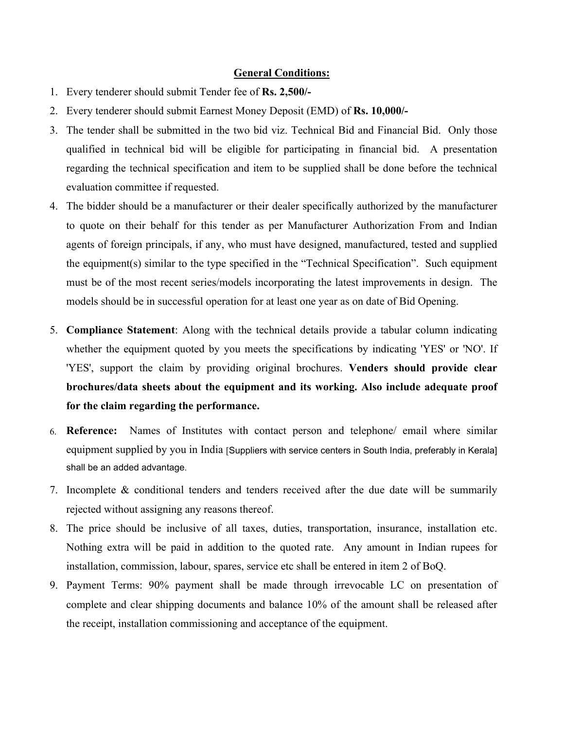#### **General Conditions:**

- 1. Every tenderer should submit Tender fee of **Rs. 2,500/-**
- 2. Every tenderer should submit Earnest Money Deposit (EMD) of **Rs. 10,000/-**
- 3. The tender shall be submitted in the two bid viz. Technical Bid and Financial Bid. Only those qualified in technical bid will be eligible for participating in financial bid. A presentation regarding the technical specification and item to be supplied shall be done before the technical evaluation committee if requested.
- 4. The bidder should be a manufacturer or their dealer specifically authorized by the manufacturer to quote on their behalf for this tender as per Manufacturer Authorization From and Indian agents of foreign principals, if any, who must have designed, manufactured, tested and supplied the equipment(s) similar to the type specified in the "Technical Specification". Such equipment must be of the most recent series/models incorporating the latest improvements in design. The models should be in successful operation for at least one year as on date of Bid Opening.
- 5. **Compliance Statement**: Along with the technical details provide a tabular column indicating whether the equipment quoted by you meets the specifications by indicating 'YES' or 'NO'. If 'YES', support the claim by providing original brochures. **Venders should provide clear brochures/data sheets about the equipment and its working. Also include adequate proof for the claim regarding the performance.**
- 6. **Reference:** Names of Institutes with contact person and telephone/ email where similar equipment supplied by you in India [Suppliers with service centers in South India, preferably in Kerala] shall be an added advantage.
- 7. Incomplete & conditional tenders and tenders received after the due date will be summarily rejected without assigning any reasons thereof.
- 8. The price should be inclusive of all taxes, duties, transportation, insurance, installation etc. Nothing extra will be paid in addition to the quoted rate. Any amount in Indian rupees for installation, commission, labour, spares, service etc shall be entered in item 2 of BoQ.
- 9. Payment Terms: 90% payment shall be made through irrevocable LC on presentation of complete and clear shipping documents and balance 10% of the amount shall be released after the receipt, installation commissioning and acceptance of the equipment.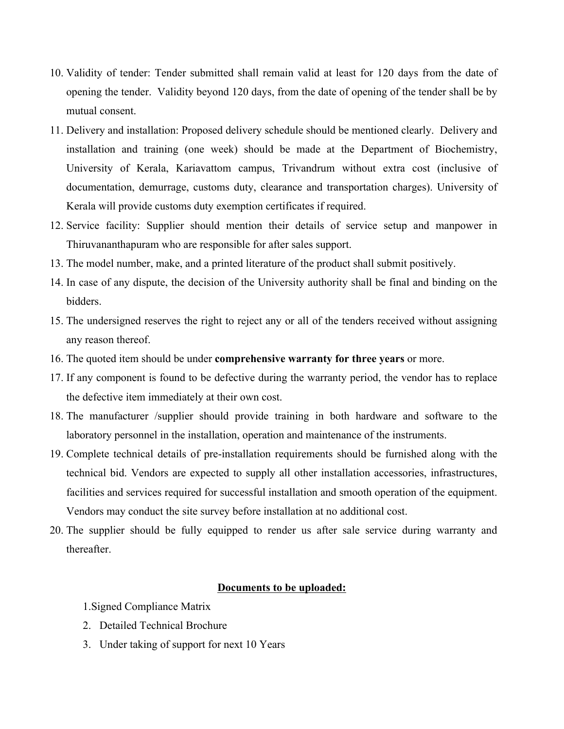- 10. Validity of tender: Tender submitted shall remain valid at least for 120 days from the date of opening the tender. Validity beyond 120 days, from the date of opening of the tender shall be by mutual consent.
- 11. Delivery and installation: Proposed delivery schedule should be mentioned clearly. Delivery and installation and training (one week) should be made at the Department of Biochemistry, University of Kerala, Kariavattom campus, Trivandrum without extra cost (inclusive of documentation, demurrage, customs duty, clearance and transportation charges). University of Kerala will provide customs duty exemption certificates if required.
- 12. Service facility: Supplier should mention their details of service setup and manpower in Thiruvananthapuram who are responsible for after sales support.
- 13. The model number, make, and a printed literature of the product shall submit positively.
- 14. In case of any dispute, the decision of the University authority shall be final and binding on the bidders.
- 15. The undersigned reserves the right to reject any or all of the tenders received without assigning any reason thereof.
- 16. The quoted item should be under **comprehensive warranty for three years** or more.
- 17. If any component is found to be defective during the warranty period, the vendor has to replace the defective item immediately at their own cost.
- 18. The manufacturer /supplier should provide training in both hardware and software to the laboratory personnel in the installation, operation and maintenance of the instruments.
- 19. Complete technical details of pre-installation requirements should be furnished along with the technical bid. Vendors are expected to supply all other installation accessories, infrastructures, facilities and services required for successful installation and smooth operation of the equipment. Vendors may conduct the site survey before installation at no additional cost.
- 20. The supplier should be fully equipped to render us after sale service during warranty and thereafter.

#### **Documents to be uploaded:**

1.Signed Compliance Matrix

- 2. Detailed Technical Brochure
- 3. Under taking of support for next 10 Years